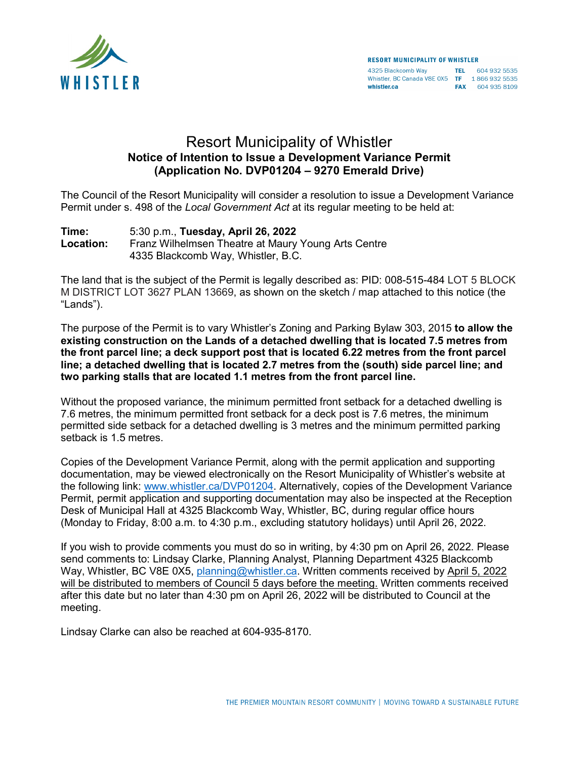

4325 Blackcomb Way<br>Whistler, BC Canada V8E 0X5 TF 1 866 932 5535<br>Whistler.ca FAX 604 935 8109

## Resort Municipality of Whistler **Notice of Intention to Issue a Development Variance Permit (Application No. DVP01204 – 9270 Emerald Drive)**

The Council of the Resort Municipality will consider a resolution to issue a Development Variance Permit under s. 498 of the *Local Government Act* at its regular meeting to be held at:

**Time:** 5:30 p.m., **Tuesday, April 26, 2022 Location:** Franz Wilhelmsen Theatre at Maury Young Arts Centre 4335 Blackcomb Way, Whistler, B.C.

The land that is the subject of the Permit is legally described as: PID: 008-515-484 LOT 5 BLOCK M DISTRICT LOT 3627 PLAN 13669, as shown on the sketch / map attached to this notice (the "Lands").

The purpose of the Permit is to vary Whistler's Zoning and Parking Bylaw 303, 2015 **to allow the existing construction on the Lands of a detached dwelling that is located 7.5 metres from the front parcel line; a deck support post that is located 6.22 metres from the front parcel line; a detached dwelling that is located 2.7 metres from the (south) side parcel line; and two parking stalls that are located 1.1 metres from the front parcel line.**

Without the proposed variance, the minimum permitted front setback for a detached dwelling is 7.6 metres, the minimum permitted front setback for a deck post is 7.6 metres, the minimum permitted side setback for a detached dwelling is 3 metres and the minimum permitted parking setback is 1.5 metres.

Copies of the Development Variance Permit, along with the permit application and supporting documentation, may be viewed electronically on the Resort Municipality of Whistler's website at the following link: [www.whistler.ca/DVP01204.](http://www.whistler.ca/DVP01204) Alternatively, copies of the Development Variance Permit, permit application and supporting documentation may also be inspected at the Reception Desk of Municipal Hall at 4325 Blackcomb Way, Whistler, BC, during regular office hours (Monday to Friday, 8:00 a.m. to 4:30 p.m., excluding statutory holidays) until April 26, 2022.

If you wish to provide comments you must do so in writing, by 4:30 pm on April 26, 2022. Please send comments to: Lindsay Clarke, Planning Analyst, Planning Department 4325 Blackcomb Way, Whistler, BC V8E 0X5, [planning@whistler.ca.](mailto:planning@whistler.ca) Written comments received by April 5, 2022 will be distributed to members of Council 5 days before the meeting. Written comments received after this date but no later than 4:30 pm on April 26, 2022 will be distributed to Council at the meeting.

Lindsay Clarke can also be reached at 604-935-8170.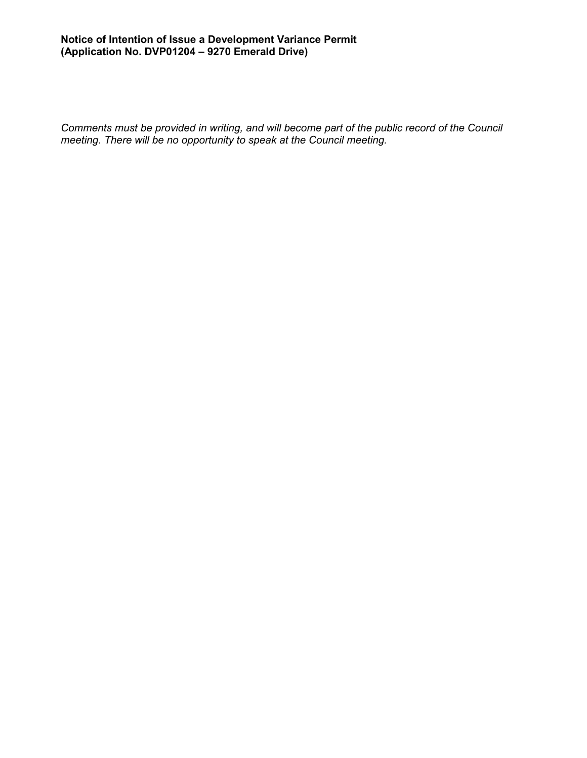## **Notice of Intention of Issue a Development Variance Permit (Application No. DVP01204 – 9270 Emerald Drive)**

*Comments must be provided in writing, and will become part of the public record of the Council meeting. There will be no opportunity to speak at the Council meeting.*